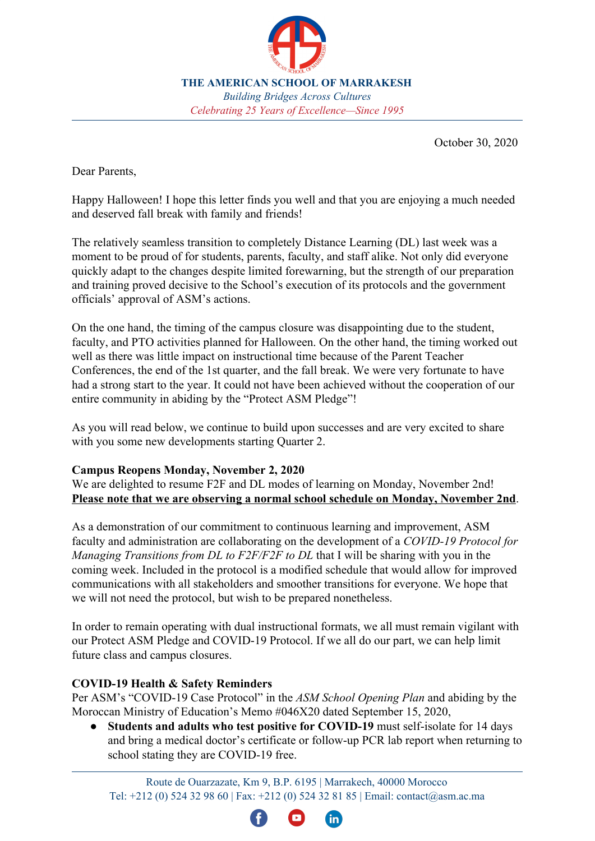

**THE AMERICAN SCHOOL OF MARRAKESH** *Building Bridges Across Cultures Celebrating 25 Years of Excellence—Since 1995*

October 30, 2020

Dear Parents,

Happy Halloween! I hope this letter finds you well and that you are enjoying a much needed and deserved fall break with family and friends!

The relatively seamless transition to completely Distance Learning (DL) last week was a moment to be proud of for students, parents, faculty, and staff alike. Not only did everyone quickly adapt to the changes despite limited forewarning, but the strength of our preparation and training proved decisive to the School's execution of its protocols and the government officials' approval of ASM's actions.

On the one hand, the timing of the campus closure was disappointing due to the student, faculty, and PTO activities planned for Halloween. On the other hand, the timing worked out well as there was little impact on instructional time because of the Parent Teacher Conferences, the end of the 1st quarter, and the fall break. We were very fortunate to have had a strong start to the year. It could not have been achieved without the cooperation of our entire community in abiding by the "Protect ASM Pledge"!

As you will read below, we continue to build upon successes and are very excited to share with you some new developments starting Quarter 2.

## **Campus Reopens Monday, November 2, 2020**

We are delighted to resume F2F and DL modes of learning on Monday, November 2nd! **Please note that we are observing a normal school schedule on Monday, November 2nd**.

As a demonstration of our commitment to continuous learning and improvement, ASM faculty and administration are collaborating on the development of a *COVID-19 Protocol for Managing Transitions from DL to F2F/F2F to DL* that I will be sharing with you in the coming week. Included in the protocol is a modified schedule that would allow for improved communications with all stakeholders and smoother transitions for everyone. We hope that we will not need the protocol, but wish to be prepared nonetheless.

In order to remain operating with dual instructional formats, we all must remain vigilant with our Protect ASM Pledge and COVID-19 Protocol. If we all do our part, we can help limit future class and campus closures.

## **COVID-19 Health & Safety Reminders**

Per ASM's "COVID-19 Case Protocol" in the *ASM School Opening Plan* and abiding by the Moroccan Ministry of Education's Memo #046X20 dated September 15, 2020,

**Students and adults who test positive for COVID-19** must self-isolate for 14 days and bring a medical doctor's certificate or follow-up PCR lab report when returning to school stating they are COVID-19 free.

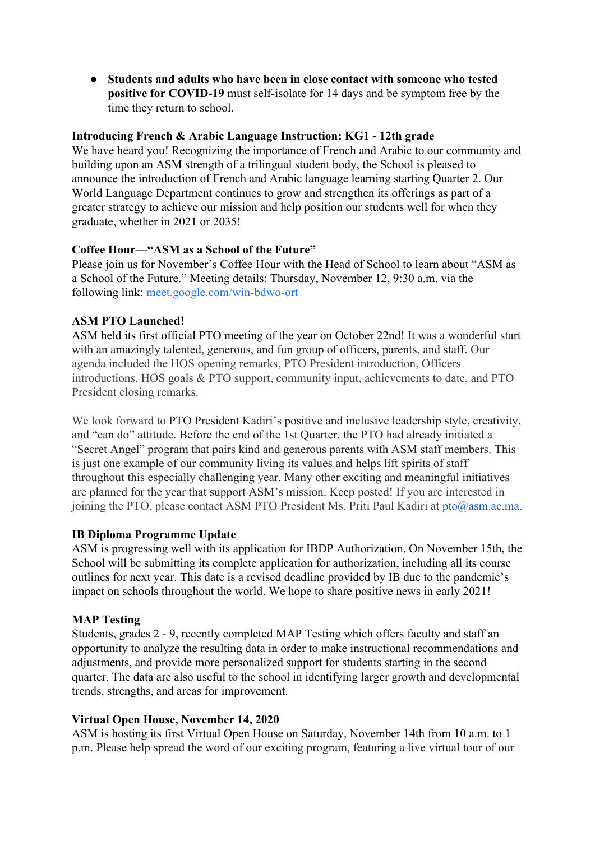**● Students and adults who have been in close contact with someone who tested positive for COVID-19** must self-isolate for 14 days and be symptom free by the time they return to school.

## **Introducing French & Arabic Language Instruction: KG1 - 12th grade**

We have heard you! Recognizing the importance of French and Arabic to our community and building upon an ASM strength of a trilingual student body, the School is pleased to announce the introduction of French and Arabic language learning starting Quarter 2. Our World Language Department continues to grow and strengthen its offerings as part of a greater strategy to achieve our mission and help position our students well for when they graduate, whether in 2021 or 2035!

### **Coffee Hour—"ASM as a School of the Future"**

Please join us for November's Coffee Hour with the Head of School to learn about "ASM as a School of the Future." Meeting details: Thursday, November 12, 9:30 a.m. via the following link: [meet.google.com/win-bdwo-ort](https://meet.google.com/win-bdwo-ort?hs=122&authuser=2)

## **ASM PTO Launched!**

ASM held its first official PTO meeting of the year on October 22nd! It was a wonderful start with an amazingly talented, generous, and fun group of officers, parents, and staff. Our agenda included the HOS opening remarks, PTO President introduction, Officers introductions, HOS goals & PTO support, community input, achievements to date, and PTO President closing remarks.

We look forward to PTO President Kadiri's positive and inclusive leadership style, creativity, and "can do" attitude. Before the end of the 1st Quarter, the PTO had already initiated a "Secret Angel" program that pairs kind and generous parents with ASM staff members. This is just one example of our community living its values and helps lift spirits of staff throughout this especially challenging year. Many other exciting and meaningful initiatives are planned for the year that support ASM's mission. Keep posted! If you are interested in joining the PTO, please contact ASM PTO President Ms. Priti Paul Kadiri at  $pto(a)$ asm.ac.ma.

## **IB Diploma Programme Update**

ASM is progressing well with its application for IBDP Authorization. On November 15th, the School will be submitting its complete application for authorization, including all its course outlines for next year. This date is a revised deadline provided by IB due to the pandemic's impact on schools throughout the world. We hope to share positive news in early 2021!

## **MAP Testing**

Students, grades 2 - 9, recently completed MAP Testing which offers faculty and staff an opportunity to analyze the resulting data in order to make instructional recommendations and adjustments, and provide more personalized support for students starting in the second quarter. The data are also useful to the school in identifying larger growth and developmental trends, strengths, and areas for improvement.

## **Virtual Open House, November 14, 2020**

ASM is hosting its first Virtual Open House on Saturday, November 14th from 10 a.m. to 1 p.m. Please help spread the word of our exciting program, featuring a live virtual tour of our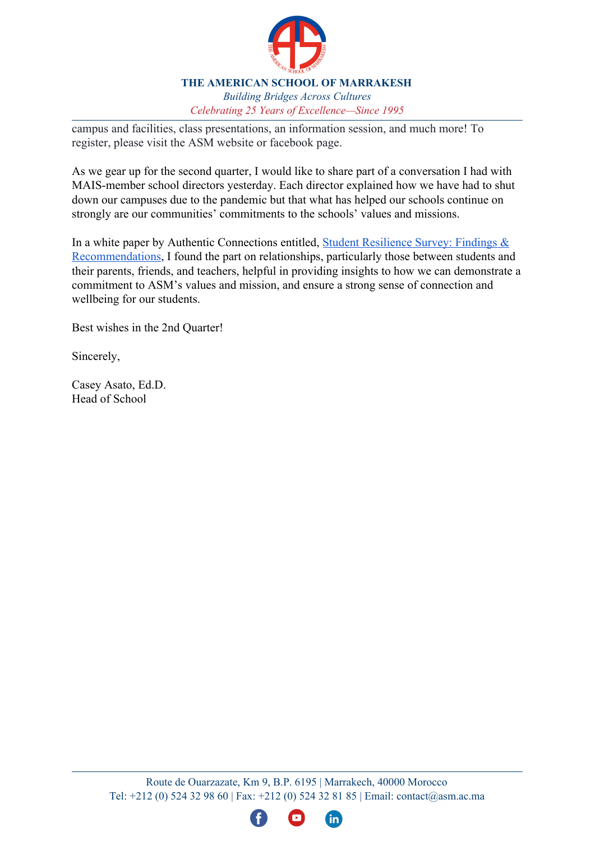

#### **THE AMERICAN SCHOOL OF MARRAKESH** *Building Bridges Across Cultures Celebrating 25 Years of Excellence—Since 1995*

campus and facilities, class presentations, an information session, and much more! To register, please visit the ASM website or facebook page.

As we gear up for the second quarter, I would like to share part of a conversation I had with MAIS-member school directors yesterday. Each director explained how we have had to shut down our campuses due to the pandemic but that what has helped our schools continue on strongly are our communities' commitments to the schools' values and missions.

In a white paper by Authentic Connections entitled, [Student Resilience Survey: Findings &](https://www.authconn.com/files/Authentic%20Connections%20SRS%20White%20Paper.pdf) [Recommendations](https://www.authconn.com/files/Authentic%20Connections%20SRS%20White%20Paper.pdf), I found the part on relationships, particularly those between students and their parents, friends, and teachers, helpful in providing insights to how we can demonstrate a commitment to ASM's values and mission, and ensure a strong sense of connection and wellbeing for our students.

Best wishes in the 2nd Quarter!

Sincerely,

Casey Asato, Ed.D. Head of School

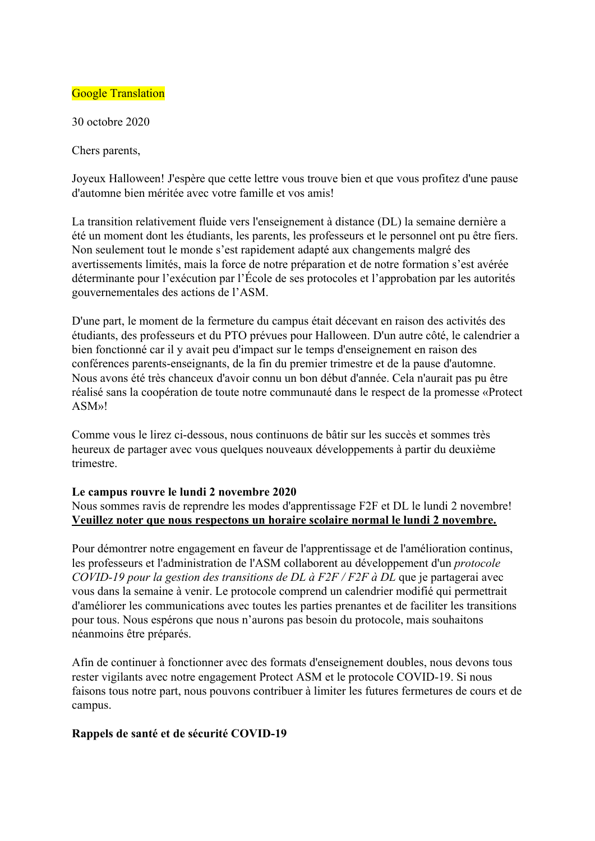## **Google Translation**

30 octobre 2020

Chers parents,

Joyeux Halloween! J'espère que cette lettre vous trouve bien et que vous profitez d'une pause d'automne bien méritée avec votre famille et vos amis!

La transition relativement fluide vers l'enseignement à distance (DL) la semaine dernière a été un moment dont les étudiants, les parents, les professeurs et le personnel ont pu être fiers. Non seulement tout le monde s'est rapidement adapté aux changements malgré des avertissements limités, mais la force de notre préparation et de notre formation s'est avérée déterminante pour l'exécution par l'École de ses protocoles et l'approbation par les autorités gouvernementales des actions de l'ASM.

D'une part, le moment de la fermeture du campus était décevant en raison des activités des étudiants, des professeurs et du PTO prévues pour Halloween. D'un autre côté, le calendrier a bien fonctionné car il y avait peu d'impact sur le temps d'enseignement en raison des conférences parents-enseignants, de la fin du premier trimestre et de la pause d'automne. Nous avons été très chanceux d'avoir connu un bon début d'année. Cela n'aurait pas pu être réalisé sans la coopération de toute notre communauté dans le respect de la promesse «Protect ASM»!

Comme vous le lirez ci-dessous, nous continuons de bâtir sur les succès et sommes très heureux de partager avec vous quelques nouveaux développements à partir du deuxième trimestre.

#### **Le campus rouvre le lundi 2 novembre 2020**

Nous sommes ravis de reprendre les modes d'apprentissage F2F et DL le lundi 2 novembre! **Veuillez noter que nous respectons un horaire scolaire normal le lundi 2 novembre.**

Pour démontrer notre engagement en faveur de l'apprentissage et de l'amélioration continus, les professeurs et l'administration de l'ASM collaborent au développement d'un *protocole COVID-19 pour la gestion des transitions de DL à F2F / F2F à DL* que je partagerai avec vous dans la semaine à venir. Le protocole comprend un calendrier modifié qui permettrait d'améliorer les communications avec toutes les parties prenantes et de faciliter les transitions pour tous. Nous espérons que nous n'aurons pas besoin du protocole, mais souhaitons néanmoins être préparés.

Afin de continuer à fonctionner avec des formats d'enseignement doubles, nous devons tous rester vigilants avec notre engagement Protect ASM et le protocole COVID-19. Si nous faisons tous notre part, nous pouvons contribuer à limiter les futures fermetures de cours et de campus.

## **Rappels de santé et de sécurité COVID-19**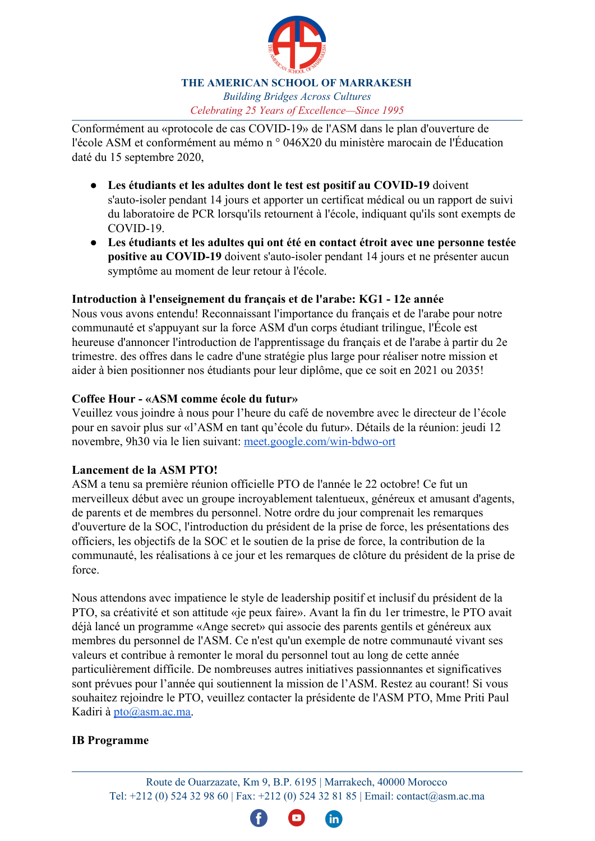

#### **THE AMERICAN SCHOOL OF MARRAKESH** *Building Bridges Across Cultures Celebrating 25 Years of Excellence—Since 1995*

Conformément au «protocole de cas COVID-19» de l'ASM dans le plan d'ouverture de l'école ASM et conformément au mémo n ° 046X20 du ministère marocain de l'Éducation daté du 15 septembre 2020,

- **Les étudiants et les adultes dont le test est positif au COVID-19** doivent s'auto-isoler pendant 14 jours et apporter un certificat médical ou un rapport de suivi du laboratoire de PCR lorsqu'ils retournent à l'école, indiquant qu'ils sont exempts de COVID-19.
- **Les étudiants et les adultes qui ont été en contact étroit avec une personne testée positive au COVID-19** doivent s'auto-isoler pendant 14 jours et ne présenter aucun symptôme au moment de leur retour à l'école.

## **Introduction à l'enseignement du français et de l'arabe: KG1 - 12e année**

Nous vous avons entendu! Reconnaissant l'importance du français et de l'arabe pour notre communauté et s'appuyant sur la force ASM d'un corps étudiant trilingue, l'École est heureuse d'annoncer l'introduction de l'apprentissage du français et de l'arabe à partir du 2e trimestre. des offres dans le cadre d'une stratégie plus large pour réaliser notre mission et aider à bien positionner nos étudiants pour leur diplôme, que ce soit en 2021 ou 2035!

## **Coffee Hour - «ASM comme école du futur»**

Veuillez vous joindre à nous pour l'heure du café de novembre avec le directeur de l'école pour en savoir plus sur «l'ASM en tant qu'école du futur». Détails de la réunion: jeudi 12 novembre, 9h30 via le lien suivant: [meet.google.com/win-bdwo-ort](https://meet.google.com/win-bdwo-ort?hs=122&authuser=2)

## **Lancement de la ASM PTO!**

ASM a tenu sa première réunion officielle PTO de l'année le 22 octobre! Ce fut un merveilleux début avec un groupe incroyablement talentueux, généreux et amusant d'agents, de parents et de membres du personnel. Notre ordre du jour comprenait les remarques d'ouverture de la SOC, l'introduction du président de la prise de force, les présentations des officiers, les objectifs de la SOC et le soutien de la prise de force, la contribution de la communauté, les réalisations à ce jour et les remarques de clôture du président de la prise de force.

Nous attendons avec impatience le style de leadership positif et inclusif du président de la PTO, sa créativité et son attitude «je peux faire». Avant la fin du 1er trimestre, le PTO avait déjà lancé un programme «Ange secret» qui associe des parents gentils et généreux aux membres du personnel de l'ASM. Ce n'est qu'un exemple de notre communauté vivant ses valeurs et contribue à remonter le moral du personnel tout au long de cette année particulièrement difficile. De nombreuses autres initiatives passionnantes et significatives sont prévues pour l'année qui soutiennent la mission de l'ASM. Restez au courant! Si vous souhaitez rejoindre le PTO, veuillez contacter la présidente de l'ASM PTO, Mme Priti Paul Kadiri à [pto@asm.ac.ma](mailto:pto@asm.ac.ma).

# **IB Programme**